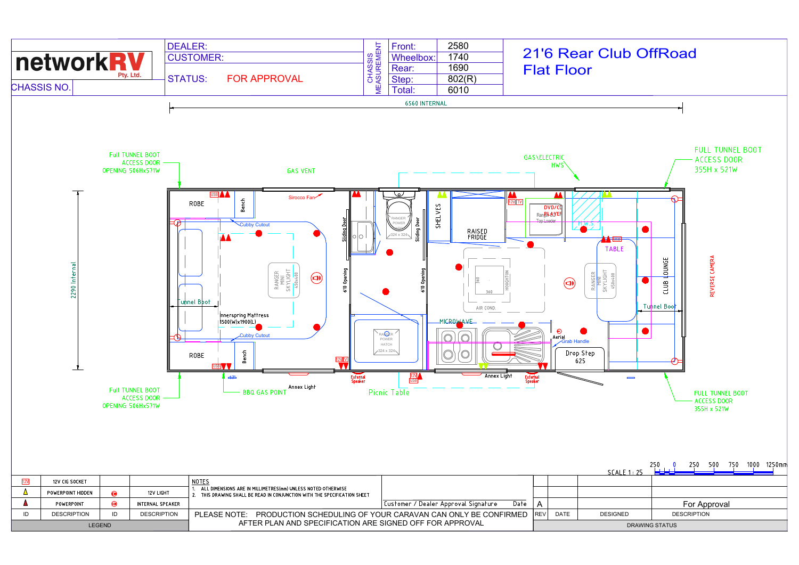